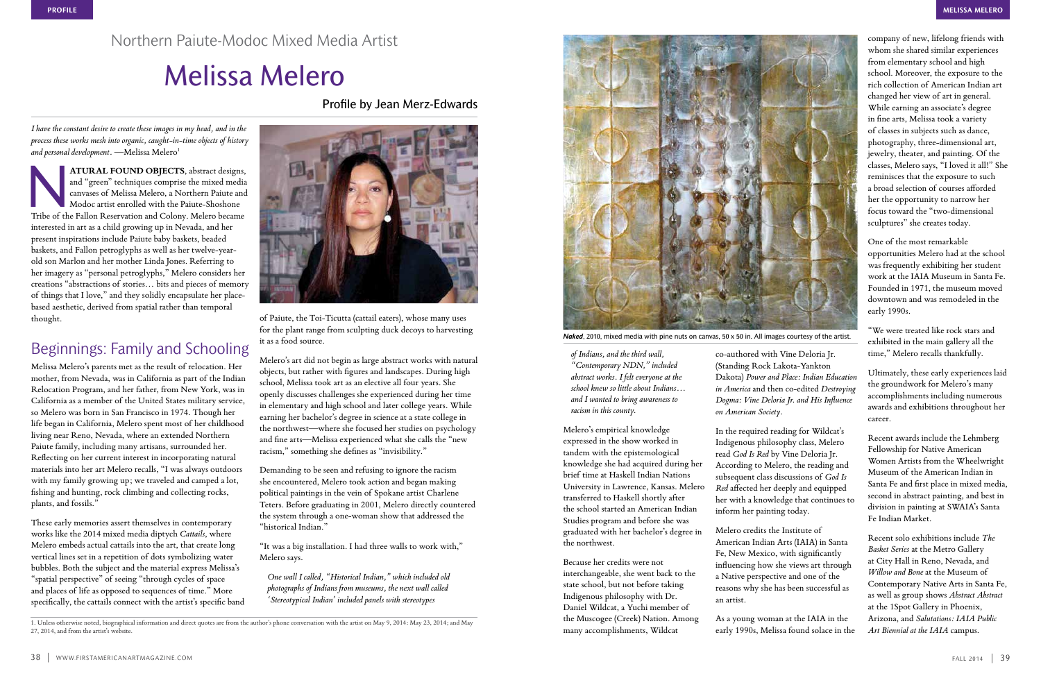*of Indians, and the third wall, "Contemporary NDN," included abstract works. I felt everyone at the school knew so little about Indians… and I wanted to bring awareness to racism in this county.*

Melero's empirical knowledge expressed in the show worked in tandem with the epistemological knowledge she had acquired during her brief time at Haskell Indian Nations University in Lawrence, Kansas. Melero transferred to Haskell shortly after the school started an American Indian Studies program and before she was graduated with her bachelor's degree in the northwest.

Because her credits were not interchangeable, she went back to the state school, but not before taking Indigenous philosophy with Dr. Daniel Wildcat, a Yuchi member of the Muscogee (Creek) Nation. Among many accomplishments, Wildcat

co-authored with Vine Deloria Jr. (Standing Rock Lakota-Yankton Dakota) *Power and Place: Indian Education in America* and then co-edited *Destroying Dogma: Vine Deloria Jr. and His Influence on American Society*.

In the required reading for Wildcat's Indigenous philosophy class, Melero read *God Is Red* by Vine Deloria Jr. According to Melero, the reading and subsequent class discussions of *God Is Red* affected her deeply and equipped her with a knowledge that continues to inform her painting today.

Melero credits the Institute of American Indian Arts (IAIA) in Santa Fe, New Mexico, with significantly influencing how she views art through a Native perspective and one of the reasons why she has been successful as an artist.

As a young woman at the IAIA in the early 1990s, Melissa found solace in the

*I have the constant desire to create these images in my head, and in the process these works mesh into organic, caught-in-time objects of history*  and personal development. - Melissa Melero<sup>1</sup>

company of new, lifelong friends with whom she shared similar experiences from elementary school and high school. Moreover, the exposure to the rich collection of American Indian art changed her view of art in general. While earning an associate's degree in fine arts, Melissa took a variety of classes in subjects such as dance, photography, three-dimensional art, jewelry, theater, and painting. Of the classes, Melero says, "I loved it all!" She reminisces that the exposure to such a broad selection of courses afforded her the opportunity to narrow her focus toward the "two-dimensional sculptures" she creates today.

ATURAL FOUND OBJECTS, abstract designs,<br>and "green" techniques comprise the mixed media<br>canvases of Melissa Melero, a Northern Paiute and<br>Modoc artist enrolled with the Paiute-Shoshone<br>Tribe of the Fallon Reservation and C and "green" techniques comprise the mixed media canvases of Melissa Melero, a Northern Paiute and Modoc artist enrolled with the Paiute-Shoshone Tribe of the Fallon Reservation and Colony. Melero became interested in art as a child growing up in Nevada, and her present inspirations include Paiute baby baskets, beaded baskets, and Fallon petroglyphs as well as her twelve-yearold son Marlon and her mother Linda Jones. Referring to her imagery as "personal petroglyphs," Melero considers her creations "abstractions of stories… bits and pieces of memory of things that I love," and they solidly encapsulate her placebased aesthetic, derived from spatial rather than temporal thought.

One of the most remarkable opportunities Melero had at the school was frequently exhibiting her student work at the IAIA Museum in Santa Fe. Founded in 1971, the museum moved downtown and was remodeled in the early 1990s.

"We were treated like rock stars and exhibited in the main gallery all the time," Melero recalls thankfully.

Ultimately, these early experiences laid the groundwork for Melero's many accomplishments including numerous awards and exhibitions throughout her career.

Recent awards include the Lehmberg Fellowship for Native American Women Artists from the Wheelwright Museum of the American Indian in Santa Fe and first place in mixed media, second in abstract painting, and best in division in painting at SWAIA's Santa Fe Indian Market.

Recent solo exhibitions include *The Basket Series* at the Metro Gallery at City Hall in Reno, Nevada, and *Willow and Bone* at the Museum of Contemporary Native Arts in Santa Fe, as well as group shows *Abstract Abstract*  at the 1Spot Gallery in Phoenix, Arizona, and *Salutations: IAIA Public Art Biennial at the IAIA* campus.

Northern Paiute-Modoc Mixed Media Artist

# Melissa Melero

Profile by Jean Merz-Edwards

## Beginnings: Family and Schooling

Melissa Melero's parents met as the result of relocation. Her mother, from Nevada, was in California as part of the Indian Relocation Program, and her father, from New York, was in California as a member of the United States military service, so Melero was born in San Francisco in 1974. Though her life began in California, Melero spent most of her childhood living near Reno, Nevada, where an extended Northern Paiute family, including many artisans, surrounded her. Reflecting on her current interest in incorporating natural materials into her art Melero recalls, "I was always outdoors with my family growing up; we traveled and camped a lot, fishing and hunting, rock climbing and collecting rocks, plants, and fossils."

These early memories assert themselves in contemporary works like the 2014 mixed media diptych *Cattails*, where Melero embeds actual cattails into the art, that create long vertical lines set in a repetition of dots symbolizing water bubbles. Both the subject and the material express Melissa's "spatial perspective" of seeing "through cycles of space and places of life as opposed to sequences of time." More specifically, the cattails connect with the artist's specific band



of Paiute, the Toi-Ticutta (cattail eaters), whose many uses for the plant range from sculpting duck decoys to harvesting it as a food source.

Melero's art did not begin as large abstract works with natural objects, but rather with figures and landscapes. During high school, Melissa took art as an elective all four years. She openly discusses challenges she experienced during her time in elementary and high school and later college years. While earning her bachelor's degree in science at a state college in the northwest—where she focused her studies on psychology and fine arts—Melissa experienced what she calls the "new racism," something she defines as "invisibility."

Demanding to be seen and refusing to ignore the racism she encountered, Melero took action and began making political paintings in the vein of Spokane artist Charlene Teters. Before graduating in 2001, Melero directly countered the system through a one-woman show that addressed the "historical Indian."

"It was a big installation. I had three walls to work with," Melero says.

*One wall I called, "Historical Indian," which included old photographs of Indians from museums, the next wall called 'Stereotypical Indian' included panels with stereotypes* 



*Naked*, 2010, mixed media with pine nuts on canvas, 50 x 50 in. All images courtesy of the artist.

<sup>1.</sup> Unless otherwise noted, biographical information and direct quotes are from the author's phone conversation with the artist on May 9, 2014: May 23, 2014; and May 27, 2014, and from the artist's website.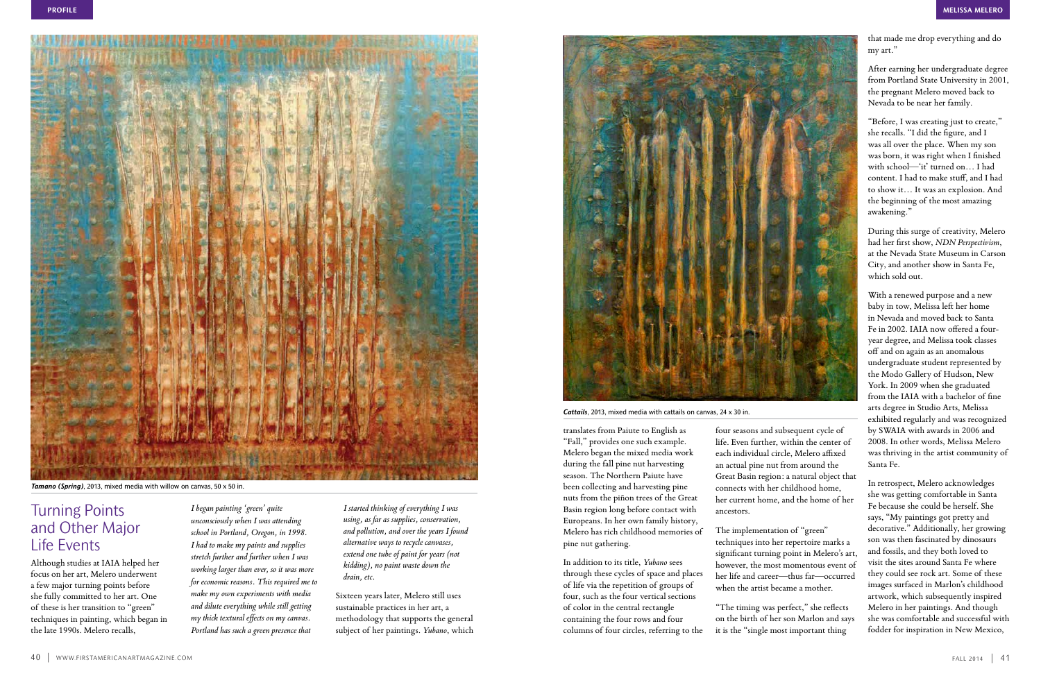translates from Paiute to English as "Fall," provides one such example. Melero began the mixed media work during the fall pine nut harvesting season. The Northern Paiute have been collecting and harvesting pine nuts from the piñon trees of the Great Basin region long before contact with Europeans. In her own family history, Melero has rich childhood memories of pine nut gathering.

In addition to its title, *Yubano* sees through these cycles of space and places of life via the repetition of groups of four, such as the four vertical sections of color in the central rectangle containing the four rows and four columns of four circles, referring to the four seasons and subsequent cycle of life. Even further, within the center of each individual circle, Melero affixed an actual pine nut from around the Great Basin region: a natural object that connects with her childhood home, her current home, and the home of her ancestors.

The implementation of "green" techniques into her repertoire marks a significant turning point in Melero's art, however, the most momentous event of her life and career—thus far—occurred when the artist became a mother.

"The timing was perfect," she reflects on the birth of her son Marlon and says it is the "single most important thing

that made me drop everything and do my art."

After earning her undergraduate degree from Portland State University in 2001, the pregnant Melero moved back to Nevada to be near her family.

"Before, I was creating just to create," she recalls. "I did the figure, and I was all over the place. When my son was born, it was right when I finished with school—'it' turned on… I had content. I had to make stuff, and I had to show it… It was an explosion. And the beginning of the most amazing awakening."

During this surge of creativity, Melero had her first show, *NDN Perspectivism*, at the Nevada State Museum in Carson City, and another show in Santa Fe, which sold out.

With a renewed purpose and a new baby in tow, Melissa left her home in Nevada and moved back to Santa Fe in 2002. IAIA now offered a fouryear degree, and Melissa took classes off and on again as an anomalous undergraduate student represented by the Modo Gallery of Hudson, New York. In 2009 when she graduated from the IAIA with a bachelor of fine arts degree in Studio Arts, Melissa exhibited regularly and was recognized by SWAIA with awards in 2006 and 2008. In other words, Melissa Melero was thriving in the artist community of Santa Fe.

In retrospect, Melero acknowledges she was getting comfortable in Santa Fe because she could be herself. She says, "My paintings got pretty and decorative." Additionally, her growing son was then fascinated by dinosaurs and fossils, and they both loved to visit the sites around Santa Fe where they could see rock art. Some of these images surfaced in Marlon's childhood artwork, which subsequently inspired Melero in her paintings. And though she was comfortable and successful with fodder for inspiration in New Mexico,

### Turning Points and Other Major Life Events

Although studies at IAIA helped her focus on her art, Melero underwent a few major turning points before she fully committed to her art. One of these is her transition to "green" techniques in painting, which began in the late 1990s. Melero recalls,

*I began painting 'green' quite unconsciously when I was attending school in Portland, Oregon, in 1998. I had to make my paints and supplies stretch further and further when I was working larger than ever, so it was more for economic reasons. This required me to make my own experiments with media and dilute everything while still getting my thick textural effects on my canvas. Portland has such a green presence that* 

*I started thinking of everything I was using, as far as supplies, conservation, and pollution, and over the years I found alternative ways to recycle canvases, extend one tube of paint for years (not kidding), no paint waste down the drain, etc.* 

Sixteen years later, Melero still uses sustainable practices in her art, a methodology that supports the general subject of her paintings. *Yubano*, which





*Tamano (Spring)*, 2013, mixed media with willow on canvas, 50 x 50 in.

#### *Cattails*, 2013, mixed media with cattails on canvas, 24 x 30 in.